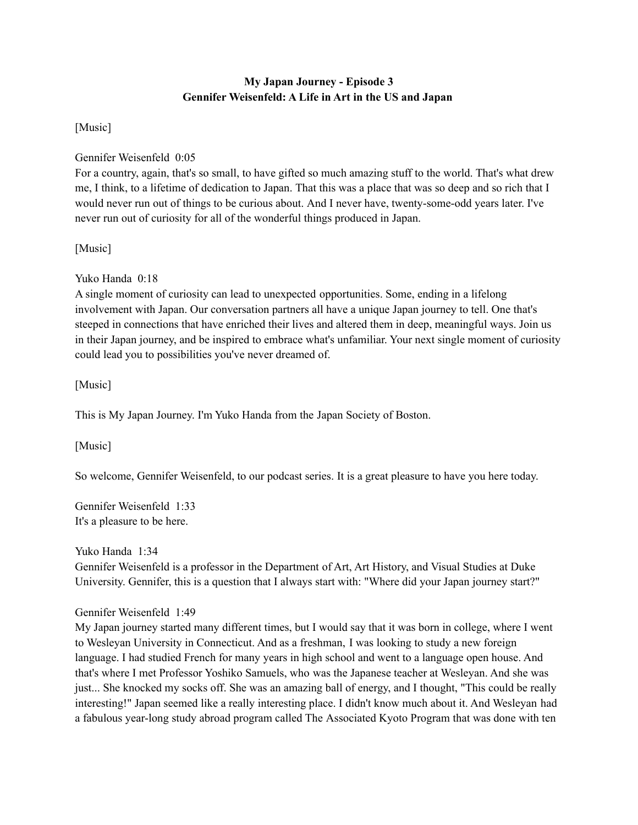# **My Japan Journey - Episode 3 Gennifer Weisenfeld: A Life in Art in the US and Japan**

[Music]

## Gennifer Weisenfeld 0:05

For a country, again, that's so small, to have gifted so much amazing stuff to the world. That's what drew me, I think, to a lifetime of dedication to Japan. That this was a place that was so deep and so rich that I would never run out of things to be curious about. And I never have, twenty-some-odd years later. I've never run out of curiosity for all of the wonderful things produced in Japan.

[Music]

Yuko Handa 0:18

A single moment of curiosity can lead to unexpected opportunities. Some, ending in a lifelong involvement with Japan. Our conversation partners all have a unique Japan journey to tell. One that's steeped in connections that have enriched their lives and altered them in deep, meaningful ways. Join us in their Japan journey, and be inspired to embrace what's unfamiliar. Your next single moment of curiosity could lead you to possibilities you've never dreamed of.

[Music]

This is My Japan Journey. I'm Yuko Handa from the Japan Society of Boston.

[Music]

So welcome, Gennifer Weisenfeld, to our podcast series. It is a great pleasure to have you here today.

Gennifer Weisenfeld 1:33 It's a pleasure to be here.

Yuko Handa 1:34

Gennifer Weisenfeld is a professor in the Department of Art, Art History, and Visual Studies at Duke University. Gennifer, this is a question that I always start with: "Where did your Japan journey start?"

# Gennifer Weisenfeld 1:49

My Japan journey started many different times, but I would say that it was born in college, where I went to Wesleyan University in Connecticut. And as a freshman, I was looking to study a new foreign language. I had studied French for many years in high school and went to a language open house. And that's where I met Professor Yoshiko Samuels, who was the Japanese teacher at Wesleyan. And she was just... She knocked my socks off. She was an amazing ball of energy, and I thought, "This could be really interesting!" Japan seemed like a really interesting place. I didn't know much about it. And Wesleyan had a fabulous year-long study abroad program called The Associated Kyoto Program that was done with ten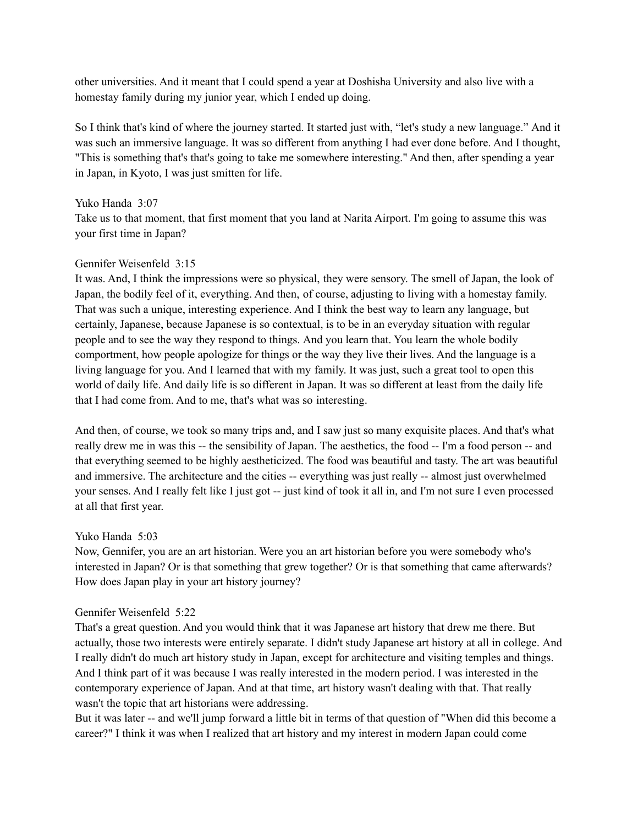other universities. And it meant that I could spend a year at Doshisha University and also live with a homestay family during my junior year, which I ended up doing.

So I think that's kind of where the journey started. It started just with, "let's study a new language." And it was such an immersive language. It was so different from anything I had ever done before. And I thought, "This is something that's that's going to take me somewhere interesting." And then, after spending a year in Japan, in Kyoto, I was just smitten for life.

## Yuko Handa 3:07

Take us to that moment, that first moment that you land at Narita Airport. I'm going to assume this was your first time in Japan?

# Gennifer Weisenfeld 3:15

It was. And, I think the impressions were so physical, they were sensory. The smell of Japan, the look of Japan, the bodily feel of it, everything. And then, of course, adjusting to living with a homestay family. That was such a unique, interesting experience. And I think the best way to learn any language, but certainly, Japanese, because Japanese is so contextual, is to be in an everyday situation with regular people and to see the way they respond to things. And you learn that. You learn the whole bodily comportment, how people apologize for things or the way they live their lives. And the language is a living language for you. And I learned that with my family. It was just, such a great tool to open this world of daily life. And daily life is so different in Japan. It was so different at least from the daily life that I had come from. And to me, that's what was so interesting.

And then, of course, we took so many trips and, and I saw just so many exquisite places. And that's what really drew me in was this -- the sensibility of Japan. The aesthetics, the food -- I'm a food person -- and that everything seemed to be highly aestheticized. The food was beautiful and tasty. The art was beautiful and immersive. The architecture and the cities -- everything was just really -- almost just overwhelmed your senses. And I really felt like I just got -- just kind of took it all in, and I'm not sure I even processed at all that first year.

## Yuko Handa 5:03

Now, Gennifer, you are an art historian. Were you an art historian before you were somebody who's interested in Japan? Or is that something that grew together? Or is that something that came afterwards? How does Japan play in your art history journey?

## Gennifer Weisenfeld 5:22

That's a great question. And you would think that it was Japanese art history that drew me there. But actually, those two interests were entirely separate. I didn't study Japanese art history at all in college. And I really didn't do much art history study in Japan, except for architecture and visiting temples and things. And I think part of it was because I was really interested in the modern period. I was interested in the contemporary experience of Japan. And at that time, art history wasn't dealing with that. That really wasn't the topic that art historians were addressing.

But it was later -- and we'll jump forward a little bit in terms of that question of "When did this become a career?" I think it was when I realized that art history and my interest in modern Japan could come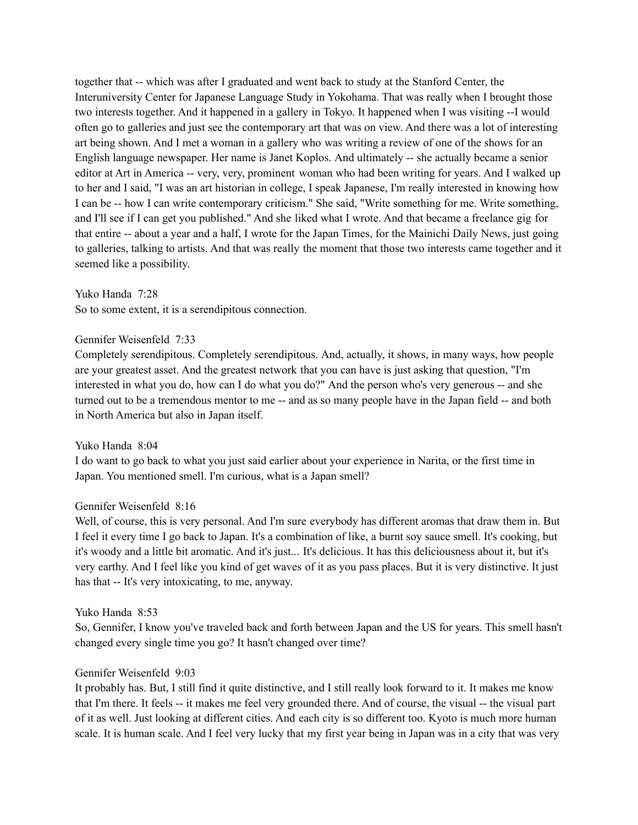together that -- which was after I graduated and went back to study at the Stanford Center, the Interuniversity Center for Japanese Language Study in Yokohama. That was really when I brought those two interests together. And it happened in a gallery in Tokyo. It happened when I was visiting --I would often go to galleries and just see the contemporary art that was on view. And there was a lot of interesting art being shown. And I met a woman in a gallery who was writing a review of one of the shows for an English language newspaper. Her name is Janet Koplos. And ultimately -- she actually became a senior editor at Art in America -- very, very, prominent woman who had been writing for years. And I walked up to her and I said, "I was an art historian in college, I speak Japanese, I'm really interested in knowing how I can be -- how I can write contemporary criticism." She said, "Write something for me. Write something, and I'll see if I can get you published." And she liked what I wrote. And that became a freelance gig for that entire -- about a year and a half, I wrote for the Japan Times, for the Mainichi Daily News, just going to galleries, talking to artists. And that was really the moment that those two interests came together and it seemed like a possibility.

Yuko Handa 7:28 So to some extent, it is a serendipitous connection.

#### Gennifer Weisenfeld 7:33

Completely serendipitous. Completely serendipitous. And, actually, it shows, in many ways, how people are your greatest asset. And the greatest network that you can have is just asking that question, "I'm interested in what you do, how can I do what you do?" And the person who's very generous -- and she turned out to be a tremendous mentor to me -- and as so many people have in the Japan field -- and both in North America but also in Japan itself.

#### Yuko Handa 8:04

I do want to go back to what you just said earlier about your experience in Narita, or the first time in Japan. You mentioned smell. I'm curious, what is a Japan smell?

## Gennifer Weisenfeld 8:16

Well, of course, this is very personal. And I'm sure everybody has different aromas that draw them in. But I feel it every time I go back to Japan. It's a combination of like, a burnt soy sauce smell. It's cooking, but it's woody and a little bit aromatic. And it's just... It's delicious. It has this deliciousness about it, but it's very earthy. And I feel like you kind of get waves of it as you pass places. But it is very distinctive. It just has that -- It's very intoxicating, to me, anyway.

#### Yuko Handa 8:53

So, Gennifer, I know you've traveled back and forth between Japan and the US for years. This smell hasn't changed every single time you go? It hasn't changed over time?

## Gennifer Weisenfeld 9:03

It probably has. But, I still find it quite distinctive, and I still really look forward to it. It makes me know that I'm there. It feels -- it makes me feel very grounded there. And of course, the visual -- the visual part of it as well. Just looking at different cities. And each city is so different too. Kyoto is much more human scale. It is human scale. And I feel very lucky that my first year being in Japan was in a city that was very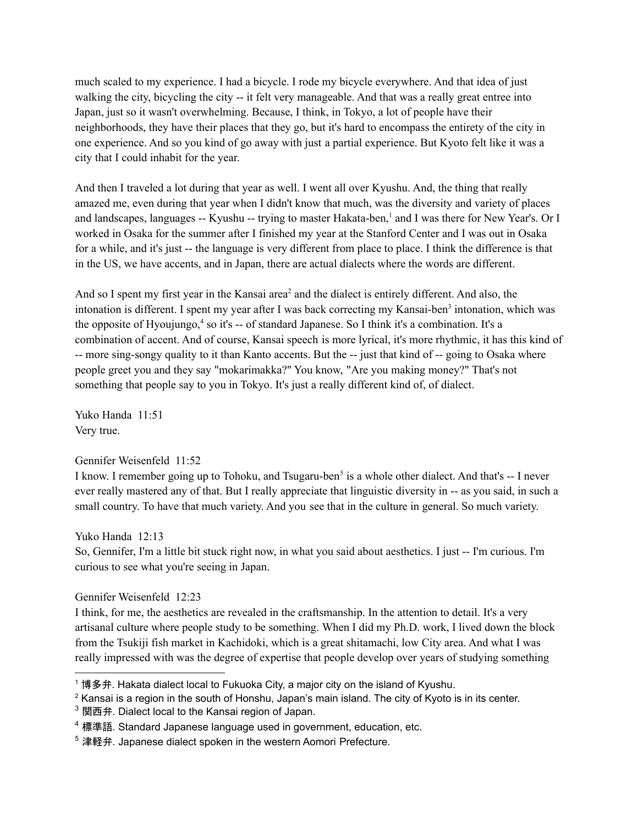much scaled to my experience. I had a bicycle. I rode my bicycle everywhere. And that idea of just walking the city, bicycling the city -- it felt very manageable. And that was a really great entree into Japan, just so it wasn't overwhelming. Because, I think, in Tokyo, a lot of people have their neighborhoods, they have their places that they go, but it's hard to encompass the entirety of the city in one experience. And so you kind of go away with just a partial experience. But Kyoto felt like it was a city that I could inhabit for the year.

And then I traveled a lot during that year as well. I went all over Kyushu. And, the thing that really amazed me, even during that year when I didn't know that much, was the diversity and variety of places and landscapes, languages -- Kyushu -- trying to master Hakata-ben, <sup>1</sup> and I was there for New Year's. Or I worked in Osaka for the summer after I finished my year at the Stanford Center and I was out in Osaka for a while, and it's just -- the language is very different from place to place. I think the difference is that in the US, we have accents, and in Japan, there are actual dialects where the words are different.

And so I spent my first year in the Kansai area <sup>2</sup> and the dialect is entirely different. And also, the intonation is different. I spent my year after I was back correcting my Kansai-ben<sup>3</sup> intonation, which was the opposite of Hyoujungo, <sup>4</sup> so it's -- of standard Japanese. So I think it's a combination. It's a combination of accent. And of course, Kansai speech is more lyrical, it's more rhythmic, it has this kind of -- more sing-songy quality to it than Kanto accents. But the -- just that kind of -- going to Osaka where people greet you and they say "mokarimakka?" You know, "Are you making money?" That's not something that people say to you in Tokyo. It's just a really different kind of, of dialect.

Yuko Handa 11:51 Very true.

## Gennifer Weisenfeld 11:52

I know. I remember going up to Tohoku, and Tsugaru-ben<sup>5</sup> is a whole other dialect. And that's -- I never ever really mastered any of that. But I really appreciate that linguistic diversity in -- as you said, in such a small country. To have that much variety. And you see that in the culture in general. So much variety.

Yuko Handa 12:13

So, Gennifer, I'm a little bit stuck right now, in what you said about aesthetics. I just -- I'm curious. I'm curious to see what you're seeing in Japan.

## Gennifer Weisenfeld 12:23

I think, for me, the aesthetics are revealed in the craftsmanship. In the attention to detail. It's a very artisanal culture where people study to be something. When I did my Ph.D. work, I lived down the block from the Tsukiji fish market in Kachidoki, which is a great shitamachi, low City area. And what I was really impressed with was the degree of expertise that people develop over years of studying something

<sup>&</sup>lt;sup>1</sup> 博多弁. Hakata dialect local to Fukuoka City, a major city on the island of Kyushu.

<sup>&</sup>lt;sup>2</sup> Kansai is a region in the south of Honshu, Japan's main island. The city of Kyoto is in its center.

 $3$  関西弁. Dialect local to the Kansai region of Japan.

<sup>&</sup>lt;sup>4</sup> 標準語. Standard Japanese language used in government, education, etc.

<sup>&</sup>lt;sup>5</sup> 津軽弁. Japanese dialect spoken in the western Aomori Prefecture.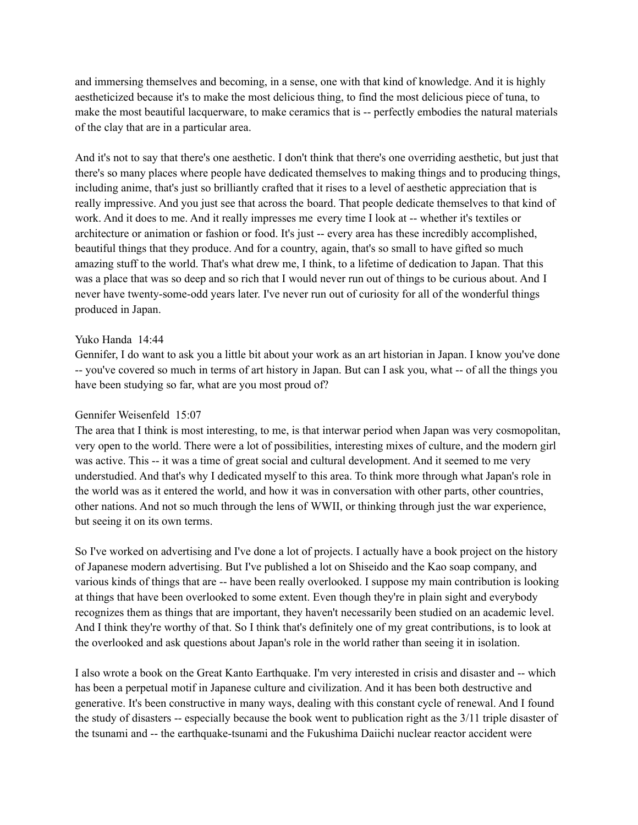and immersing themselves and becoming, in a sense, one with that kind of knowledge. And it is highly aestheticized because it's to make the most delicious thing, to find the most delicious piece of tuna, to make the most beautiful lacquerware, to make ceramics that is -- perfectly embodies the natural materials of the clay that are in a particular area.

And it's not to say that there's one aesthetic. I don't think that there's one overriding aesthetic, but just that there's so many places where people have dedicated themselves to making things and to producing things, including anime, that's just so brilliantly crafted that it rises to a level of aesthetic appreciation that is really impressive. And you just see that across the board. That people dedicate themselves to that kind of work. And it does to me. And it really impresses me every time I look at -- whether it's textiles or architecture or animation or fashion or food. It's just -- every area has these incredibly accomplished, beautiful things that they produce. And for a country, again, that's so small to have gifted so much amazing stuff to the world. That's what drew me, I think, to a lifetime of dedication to Japan. That this was a place that was so deep and so rich that I would never run out of things to be curious about. And I never have twenty-some-odd years later. I've never run out of curiosity for all of the wonderful things produced in Japan.

#### Yuko Handa 14:44

Gennifer, I do want to ask you a little bit about your work as an art historian in Japan. I know you've done -- you've covered so much in terms of art history in Japan. But can I ask you, what -- of all the things you have been studying so far, what are you most proud of?

## Gennifer Weisenfeld 15:07

The area that I think is most interesting, to me, is that interwar period when Japan was very cosmopolitan, very open to the world. There were a lot of possibilities, interesting mixes of culture, and the modern girl was active. This -- it was a time of great social and cultural development. And it seemed to me very understudied. And that's why I dedicated myself to this area. To think more through what Japan's role in the world was as it entered the world, and how it was in conversation with other parts, other countries, other nations. And not so much through the lens of WWII, or thinking through just the war experience, but seeing it on its own terms.

So I've worked on advertising and I've done a lot of projects. I actually have a book project on the history of Japanese modern advertising. But I've published a lot on Shiseido and the Kao soap company, and various kinds of things that are -- have been really overlooked. I suppose my main contribution is looking at things that have been overlooked to some extent. Even though they're in plain sight and everybody recognizes them as things that are important, they haven't necessarily been studied on an academic level. And I think they're worthy of that. So I think that's definitely one of my great contributions, is to look at the overlooked and ask questions about Japan's role in the world rather than seeing it in isolation.

I also wrote a book on the Great Kanto Earthquake. I'm very interested in crisis and disaster and -- which has been a perpetual motif in Japanese culture and civilization. And it has been both destructive and generative. It's been constructive in many ways, dealing with this constant cycle of renewal. And I found the study of disasters -- especially because the book went to publication right as the 3/11 triple disaster of the tsunami and -- the earthquake-tsunami and the Fukushima Daiichi nuclear reactor accident were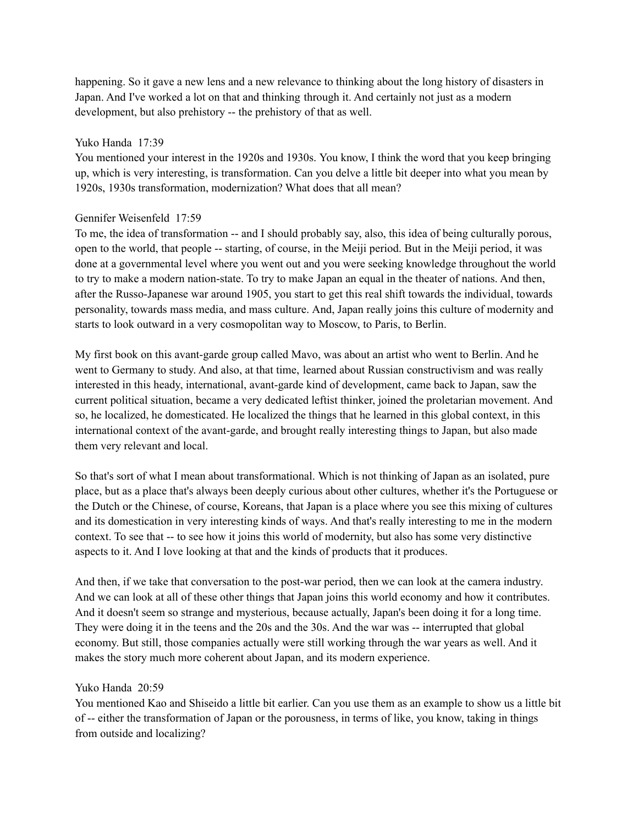happening. So it gave a new lens and a new relevance to thinking about the long history of disasters in Japan. And I've worked a lot on that and thinking through it. And certainly not just as a modern development, but also prehistory -- the prehistory of that as well.

## Yuko Handa 17:39

You mentioned your interest in the 1920s and 1930s. You know, I think the word that you keep bringing up, which is very interesting, is transformation. Can you delve a little bit deeper into what you mean by 1920s, 1930s transformation, modernization? What does that all mean?

## Gennifer Weisenfeld 17:59

To me, the idea of transformation -- and I should probably say, also, this idea of being culturally porous, open to the world, that people -- starting, of course, in the Meiji period. But in the Meiji period, it was done at a governmental level where you went out and you were seeking knowledge throughout the world to try to make a modern nation-state. To try to make Japan an equal in the theater of nations. And then, after the Russo-Japanese war around 1905, you start to get this real shift towards the individual, towards personality, towards mass media, and mass culture. And, Japan really joins this culture of modernity and starts to look outward in a very cosmopolitan way to Moscow, to Paris, to Berlin.

My first book on this avant-garde group called Mavo, was about an artist who went to Berlin. And he went to Germany to study. And also, at that time, learned about Russian constructivism and was really interested in this heady, international, avant-garde kind of development, came back to Japan, saw the current political situation, became a very dedicated leftist thinker, joined the proletarian movement. And so, he localized, he domesticated. He localized the things that he learned in this global context, in this international context of the avant-garde, and brought really interesting things to Japan, but also made them very relevant and local.

So that's sort of what I mean about transformational. Which is not thinking of Japan as an isolated, pure place, but as a place that's always been deeply curious about other cultures, whether it's the Portuguese or the Dutch or the Chinese, of course, Koreans, that Japan is a place where you see this mixing of cultures and its domestication in very interesting kinds of ways. And that's really interesting to me in the modern context. To see that -- to see how it joins this world of modernity, but also has some very distinctive aspects to it. And I love looking at that and the kinds of products that it produces.

And then, if we take that conversation to the post-war period, then we can look at the camera industry. And we can look at all of these other things that Japan joins this world economy and how it contributes. And it doesn't seem so strange and mysterious, because actually, Japan's been doing it for a long time. They were doing it in the teens and the 20s and the 30s. And the war was -- interrupted that global economy. But still, those companies actually were still working through the war years as well. And it makes the story much more coherent about Japan, and its modern experience.

## Yuko Handa 20:59

You mentioned Kao and Shiseido a little bit earlier. Can you use them as an example to show us a little bit of -- either the transformation of Japan or the porousness, in terms of like, you know, taking in things from outside and localizing?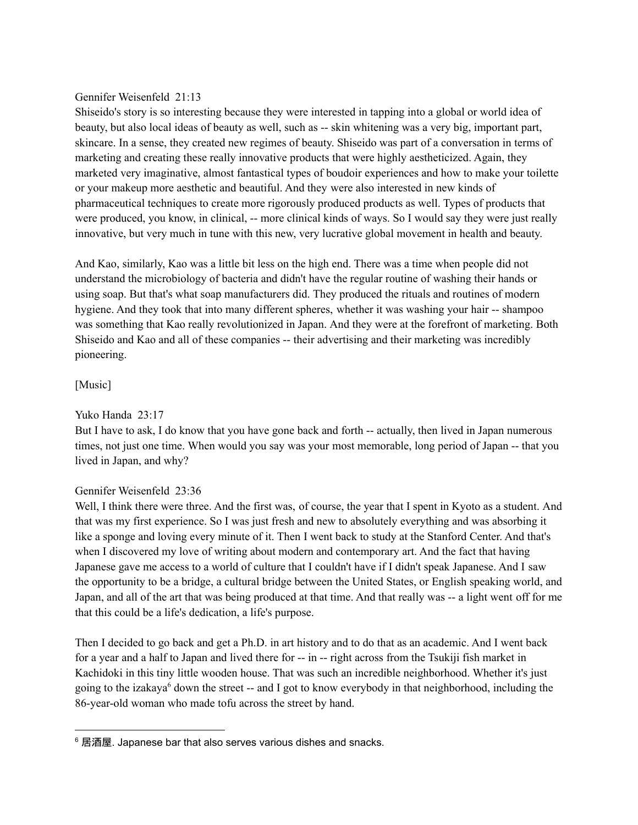## Gennifer Weisenfeld 21:13

Shiseido's story is so interesting because they were interested in tapping into a global or world idea of beauty, but also local ideas of beauty as well, such as -- skin whitening was a very big, important part, skincare. In a sense, they created new regimes of beauty. Shiseido was part of a conversation in terms of marketing and creating these really innovative products that were highly aestheticized. Again, they marketed very imaginative, almost fantastical types of boudoir experiences and how to make your toilette or your makeup more aesthetic and beautiful. And they were also interested in new kinds of pharmaceutical techniques to create more rigorously produced products as well. Types of products that were produced, you know, in clinical, -- more clinical kinds of ways. So I would say they were just really innovative, but very much in tune with this new, very lucrative global movement in health and beauty.

And Kao, similarly, Kao was a little bit less on the high end. There was a time when people did not understand the microbiology of bacteria and didn't have the regular routine of washing their hands or using soap. But that's what soap manufacturers did. They produced the rituals and routines of modern hygiene. And they took that into many different spheres, whether it was washing your hair -- shampoo was something that Kao really revolutionized in Japan. And they were at the forefront of marketing. Both Shiseido and Kao and all of these companies -- their advertising and their marketing was incredibly pioneering.

# [Music]

Yuko Handa 23:17

But I have to ask, I do know that you have gone back and forth -- actually, then lived in Japan numerous times, not just one time. When would you say was your most memorable, long period of Japan -- that you lived in Japan, and why?

# Gennifer Weisenfeld 23:36

Well, I think there were three. And the first was, of course, the year that I spent in Kyoto as a student. And that was my first experience. So I was just fresh and new to absolutely everything and was absorbing it like a sponge and loving every minute of it. Then I went back to study at the Stanford Center. And that's when I discovered my love of writing about modern and contemporary art. And the fact that having Japanese gave me access to a world of culture that I couldn't have if I didn't speak Japanese. And I saw the opportunity to be a bridge, a cultural bridge between the United States, or English speaking world, and Japan, and all of the art that was being produced at that time. And that really was -- a light went off for me that this could be a life's dedication, a life's purpose.

Then I decided to go back and get a Ph.D. in art history and to do that as an academic. And I went back for a year and a half to Japan and lived there for -- in -- right across from the Tsukiji fish market in Kachidoki in this tiny little wooden house. That was such an incredible neighborhood. Whether it's just going to the izakaya <sup>6</sup> down the street -- and I got to know everybody in that neighborhood, including the 86-year-old woman who made tofu across the street by hand.

<sup>&</sup>lt;sup>6</sup> 居酒屋. Japanese bar that also serves various dishes and snacks.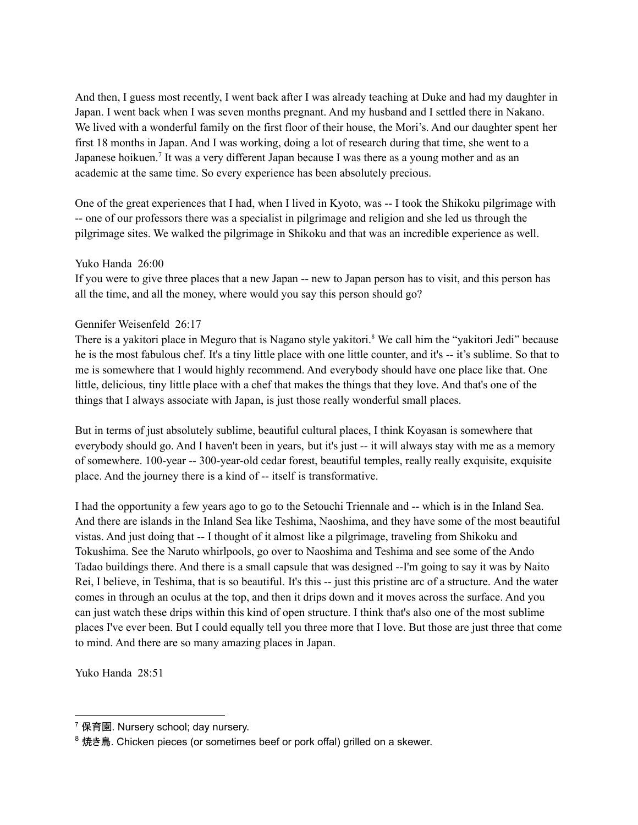And then, I guess most recently, I went back after I was already teaching at Duke and had my daughter in Japan. I went back when I was seven months pregnant. And my husband and I settled there in Nakano. We lived with a wonderful family on the first floor of their house, the Mori's. And our daughter spent her first 18 months in Japan. And I was working, doing a lot of research during that time, she went to a Japanese hoikuen.<sup>7</sup> It was a very different Japan because I was there as a young mother and as an academic at the same time. So every experience has been absolutely precious.

One of the great experiences that I had, when I lived in Kyoto, was -- I took the Shikoku pilgrimage with -- one of our professors there was a specialist in pilgrimage and religion and she led us through the pilgrimage sites. We walked the pilgrimage in Shikoku and that was an incredible experience as well.

## Yuko Handa 26:00

If you were to give three places that a new Japan -- new to Japan person has to visit, and this person has all the time, and all the money, where would you say this person should go?

## Gennifer Weisenfeld 26:17

There is a yakitori place in Meguro that is Nagano style yakitori. <sup>8</sup> We call him the "yakitori Jedi" because he is the most fabulous chef. It's a tiny little place with one little counter, and it's -- it's sublime. So that to me is somewhere that I would highly recommend. And everybody should have one place like that. One little, delicious, tiny little place with a chef that makes the things that they love. And that's one of the things that I always associate with Japan, is just those really wonderful small places.

But in terms of just absolutely sublime, beautiful cultural places, I think Koyasan is somewhere that everybody should go. And I haven't been in years, but it's just -- it will always stay with me as a memory of somewhere. 100-year -- 300-year-old cedar forest, beautiful temples, really really exquisite, exquisite place. And the journey there is a kind of -- itself is transformative.

I had the opportunity a few years ago to go to the Setouchi Triennale and -- which is in the Inland Sea. And there are islands in the Inland Sea like Teshima, Naoshima, and they have some of the most beautiful vistas. And just doing that -- I thought of it almost like a pilgrimage, traveling from Shikoku and Tokushima. See the Naruto whirlpools, go over to Naoshima and Teshima and see some of the Ando Tadao buildings there. And there is a small capsule that was designed --I'm going to say it was by Naito Rei, I believe, in Teshima, that is so beautiful. It's this -- just this pristine arc of a structure. And the water comes in through an oculus at the top, and then it drips down and it moves across the surface. And you can just watch these drips within this kind of open structure. I think that's also one of the most sublime places I've ever been. But I could equally tell you three more that I love. But those are just three that come to mind. And there are so many amazing places in Japan.

Yuko Handa 28:51

 $7$  保育園. Nursery school; day nursery.

<sup>&</sup>lt;sup>8</sup> 焼き鳥. Chicken pieces (or sometimes beef or pork offal) grilled on a skewer.